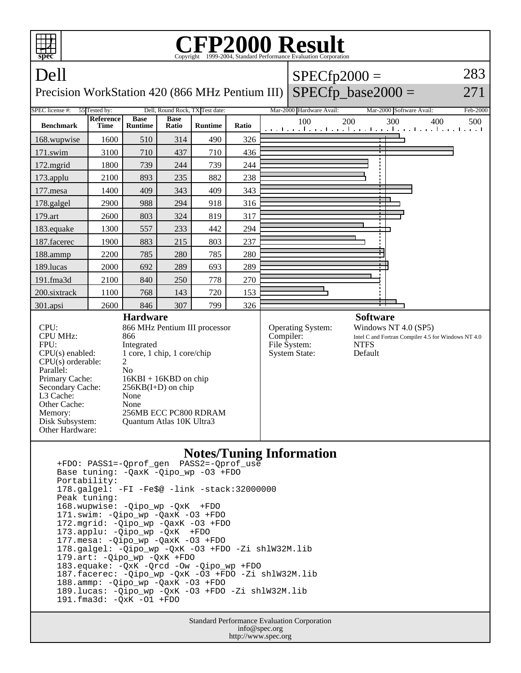

 188.ammp: -Qipo\_wp -QaxK -O3 +FDO 189.lucas: -Qipo\_wp -QxK -O3 +FDO -Zi shlW32M.lib 191.fma3d: -QxK -O1 +FDO

> Standard Performance Evaluation Corporation info@spec.org http://www.spec.org